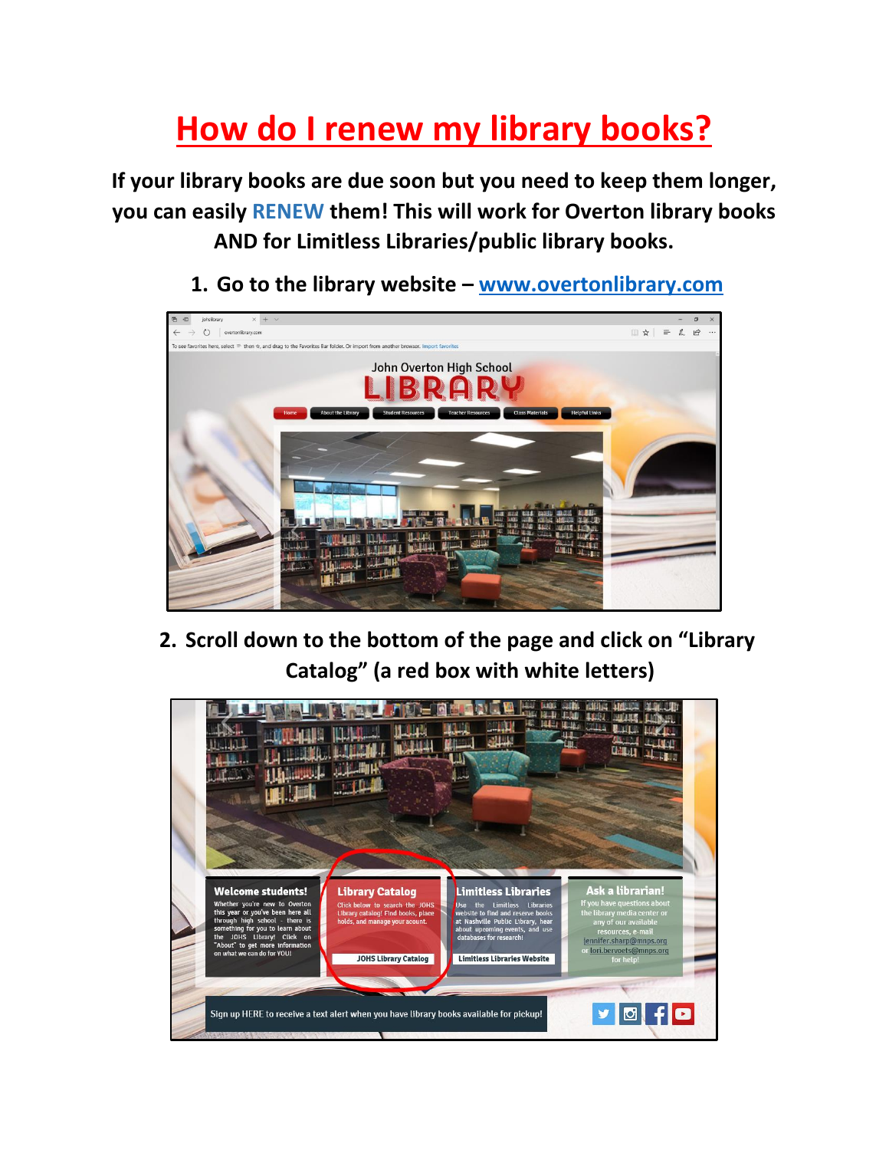## **How do I renew my library books?**

**If your library books are due soon but you need to keep them longer, you can easily RENEW them! This will work for Overton library books AND for Limitless Libraries/public library books.**

**1. Go to the library website – [www.overtonlibrary.com](http://www.overtonlibrary.com/)**



**2. Scroll down to the bottom of the page and click on "Library Catalog" (a red box with white letters)**

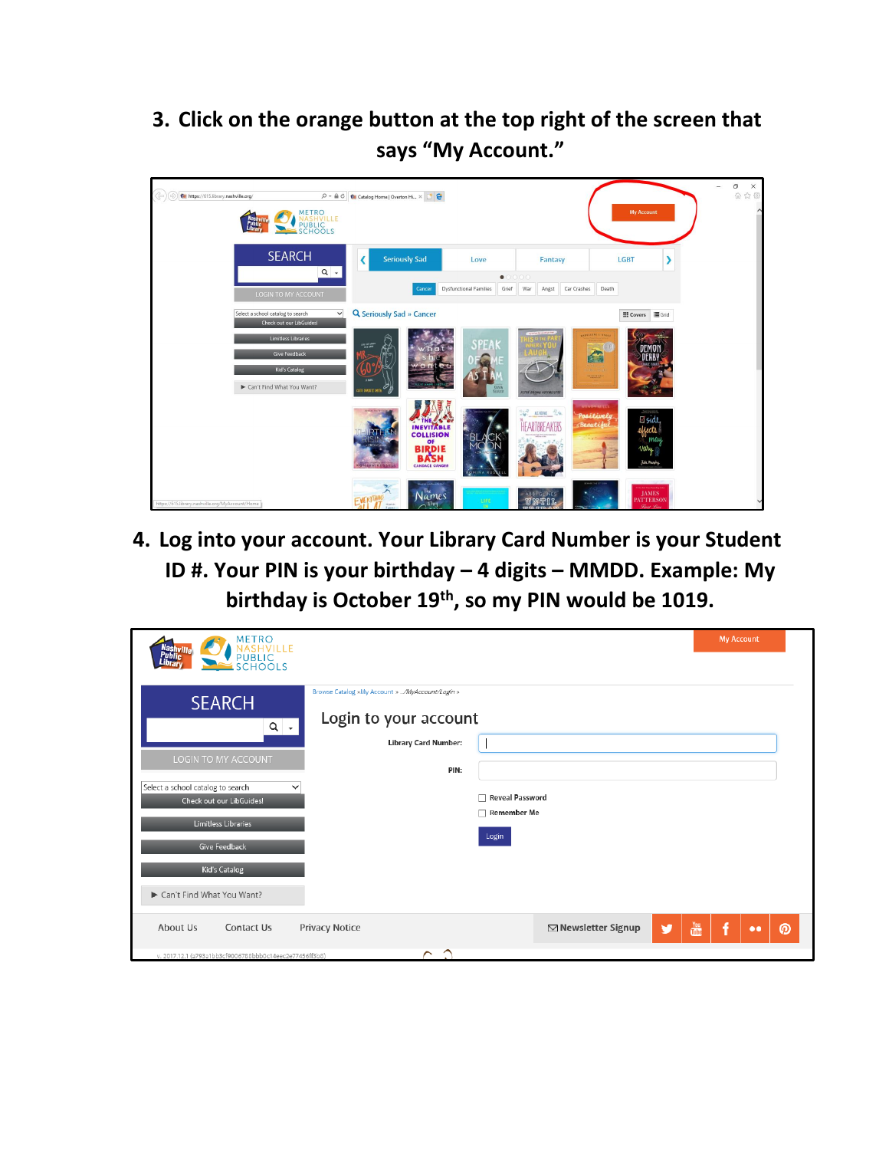**3. Click on the orange button at the top right of the screen that says "My Account."**



**4. Log into your account. Your Library Card Number is your Student ID #. Your PIN is your birthday – 4 digits – MMDD. Example: My birthday is October 19th, so my PIN would be 1019.**

| <b>METRO</b><br>Nashville<br>Public                                                                                                                                                                                                                                                      | <b>My Account</b>                                                                |
|------------------------------------------------------------------------------------------------------------------------------------------------------------------------------------------------------------------------------------------------------------------------------------------|----------------------------------------------------------------------------------|
| PUBLIC                                                                                                                                                                                                                                                                                   |                                                                                  |
| Browse Catalog »My Account » /MyAccount/Login »<br><b>SEARCH</b><br>Login to your account<br>$Q \rightarrow$<br><b>Library Card Number:</b><br>LOGIN TO MY ACCOUNT<br>PIN:<br>Select a school catalog to search<br>◡<br>Check out our LibGuides!<br>Limitless Libraries<br>Give Feedback | <b>Reveal Password</b><br><b>Remember Me</b><br>Login                            |
| Kid's Catalog<br>Can't Find What You Want?                                                                                                                                                                                                                                               |                                                                                  |
| <b>Privacy Notice</b><br>About Us<br>Contact Us<br>Γ<br>⌒<br>v. 2017.12.1 (a793a1bb3cf9006788bbb0c14eec2e77456ff3b8)                                                                                                                                                                     | $\frac{You}{t}$<br><b>⊠ Newsletter Signup</b><br>f<br>v<br>ര<br>$\bullet\bullet$ |